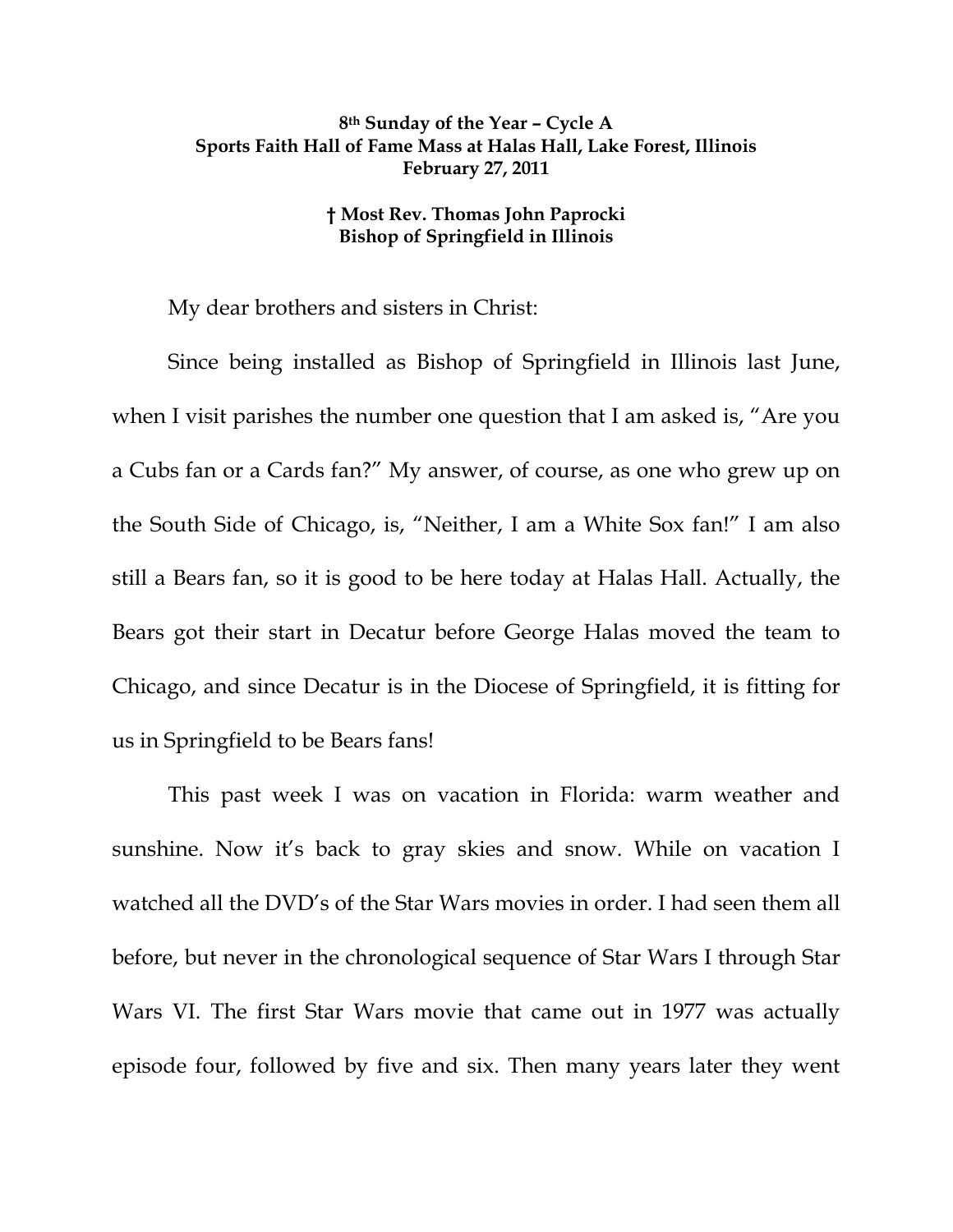## **8th Sunday of the Year – Cycle A Sports Faith Hall of Fame Mass at Halas Hall, Lake Forest, Illinois February 27, 2011**

## **† Most Rev. Thomas John Paprocki Bishop of Springfield in Illinois**

My dear brothers and sisters in Christ:

 Since being installed as Bishop of Springfield in Illinois last June, when I visit parishes the number one question that I am asked is, "Are you a Cubs fan or a Cards fan?" My answer, of course, as one who grew up on the South Side of Chicago, is, "Neither, I am a White Sox fan!" I am also still a Bears fan, so it is good to be here today at Halas Hall. Actually, the Bears got their start in Decatur before George Halas moved the team to Chicago, and since Decatur is in the Diocese of Springfield, it is fitting for us in Springfield to be Bears fans!

This past week I was on vacation in Florida: warm weather and sunshine. Now it's back to gray skies and snow. While on vacation I watched all the DVD's of the Star Wars movies in order. I had seen them all before, but never in the chronological sequence of Star Wars I through Star Wars VI. The first Star Wars movie that came out in 1977 was actually episode four, followed by five and six. Then many years later they went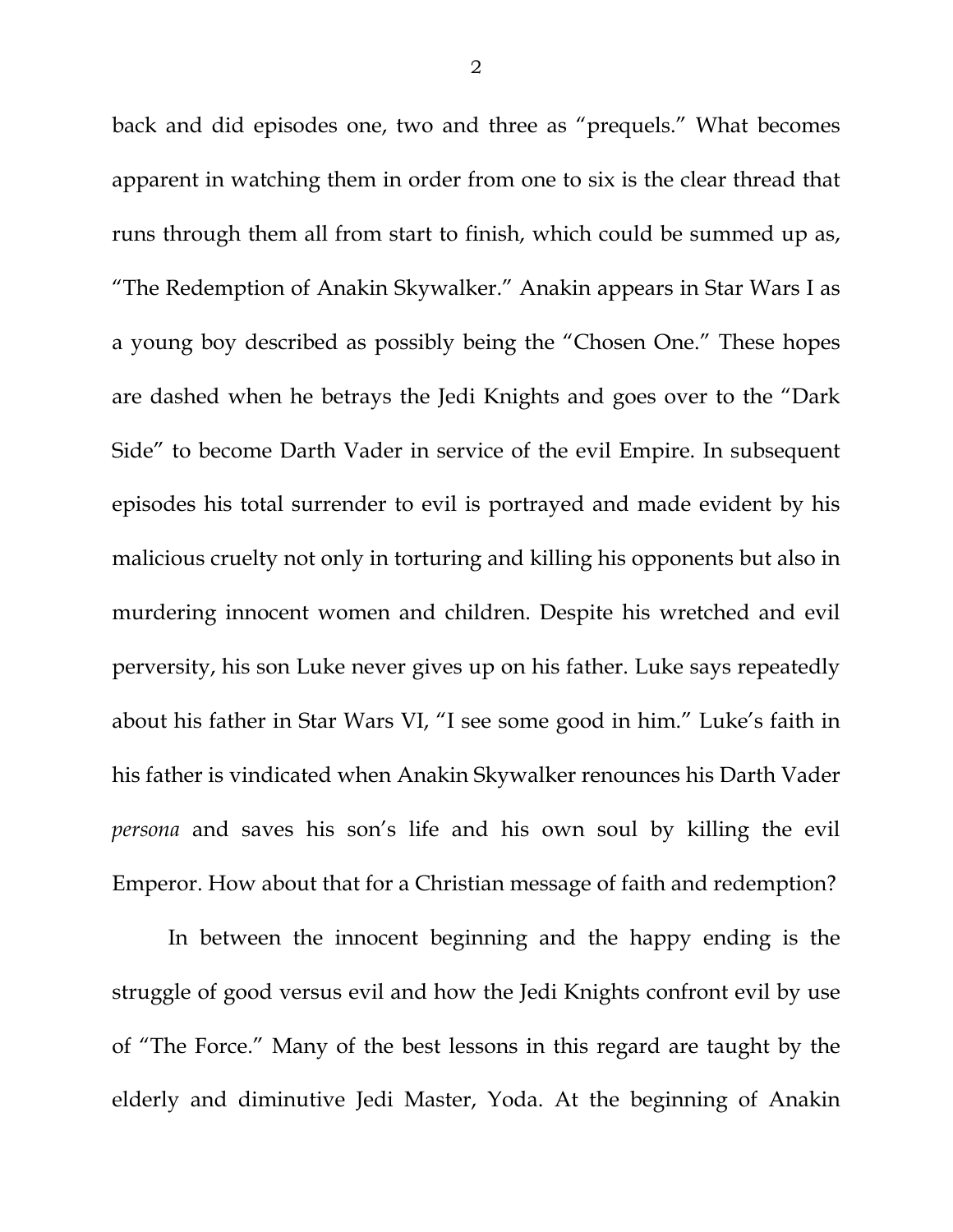back and did episodes one, two and three as "prequels." What becomes apparent in watching them in order from one to six is the clear thread that runs through them all from start to finish, which could be summed up as, "The Redemption of Anakin Skywalker." Anakin appears in Star Wars I as a young boy described as possibly being the "Chosen One." These hopes are dashed when he betrays the Jedi Knights and goes over to the "Dark Side" to become Darth Vader in service of the evil Empire. In subsequent episodes his total surrender to evil is portrayed and made evident by his malicious cruelty not only in torturing and killing his opponents but also in murdering innocent women and children. Despite his wretched and evil perversity, his son Luke never gives up on his father. Luke says repeatedly about his father in Star Wars VI, "I see some good in him." Luke's faith in his father is vindicated when Anakin Skywalker renounces his Darth Vader *persona* and saves his son's life and his own soul by killing the evil Emperor. How about that for a Christian message of faith and redemption?

 In between the innocent beginning and the happy ending is the struggle of good versus evil and how the Jedi Knights confront evil by use of "The Force." Many of the best lessons in this regard are taught by the elderly and diminutive Jedi Master, Yoda. At the beginning of Anakin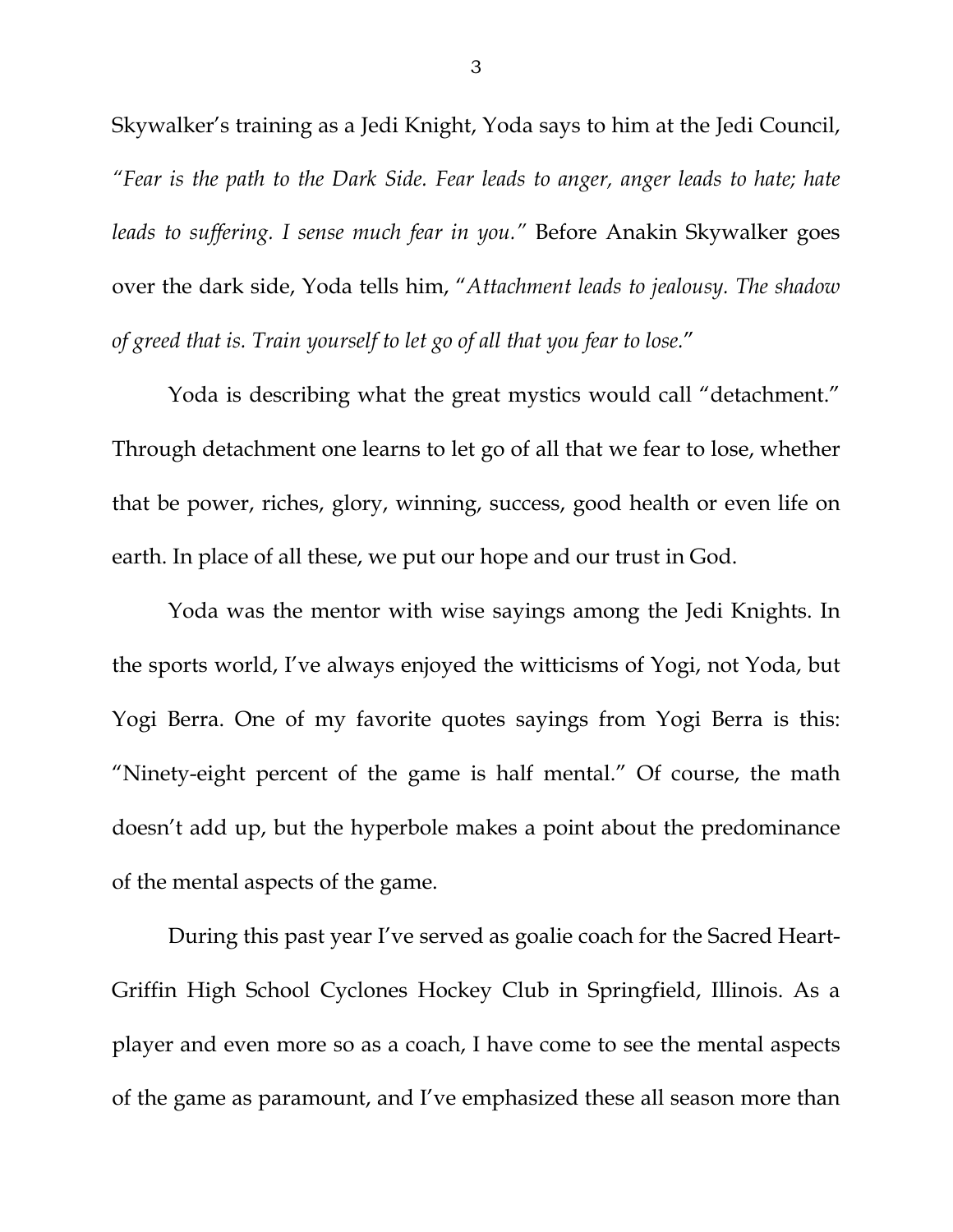Skywalker's training as a Jedi Knight, Yoda says to him at the Jedi Council, *"Fear is the path to the Dark Side. Fear leads to anger, anger leads to hate; hate leads to suffering. I sense much fear in you."* Before Anakin Skywalker goes over the dark side, Yoda tells him, "*Attachment leads to jealousy. The shadow of greed that is. Train yourself to let go of all that you fear to lose.*"

 Yoda is describing what the great mystics would call "detachment." Through detachment one learns to let go of all that we fear to lose, whether that be power, riches, glory, winning, success, good health or even life on earth. In place of all these, we put our hope and our trust in God.

 Yoda was the mentor with wise sayings among the Jedi Knights. In the sports world, I've always enjoyed the witticisms of Yogi, not Yoda, but Yogi Berra. One of my favorite quotes sayings from Yogi Berra is this: "Ninety-eight percent of the game is half mental." Of course, the math doesn't add up, but the hyperbole makes a point about the predominance of the mental aspects of the game.

 During this past year I've served as goalie coach for the Sacred Heart-Griffin High School Cyclones Hockey Club in Springfield, Illinois. As a player and even more so as a coach, I have come to see the mental aspects of the game as paramount, and I've emphasized these all season more than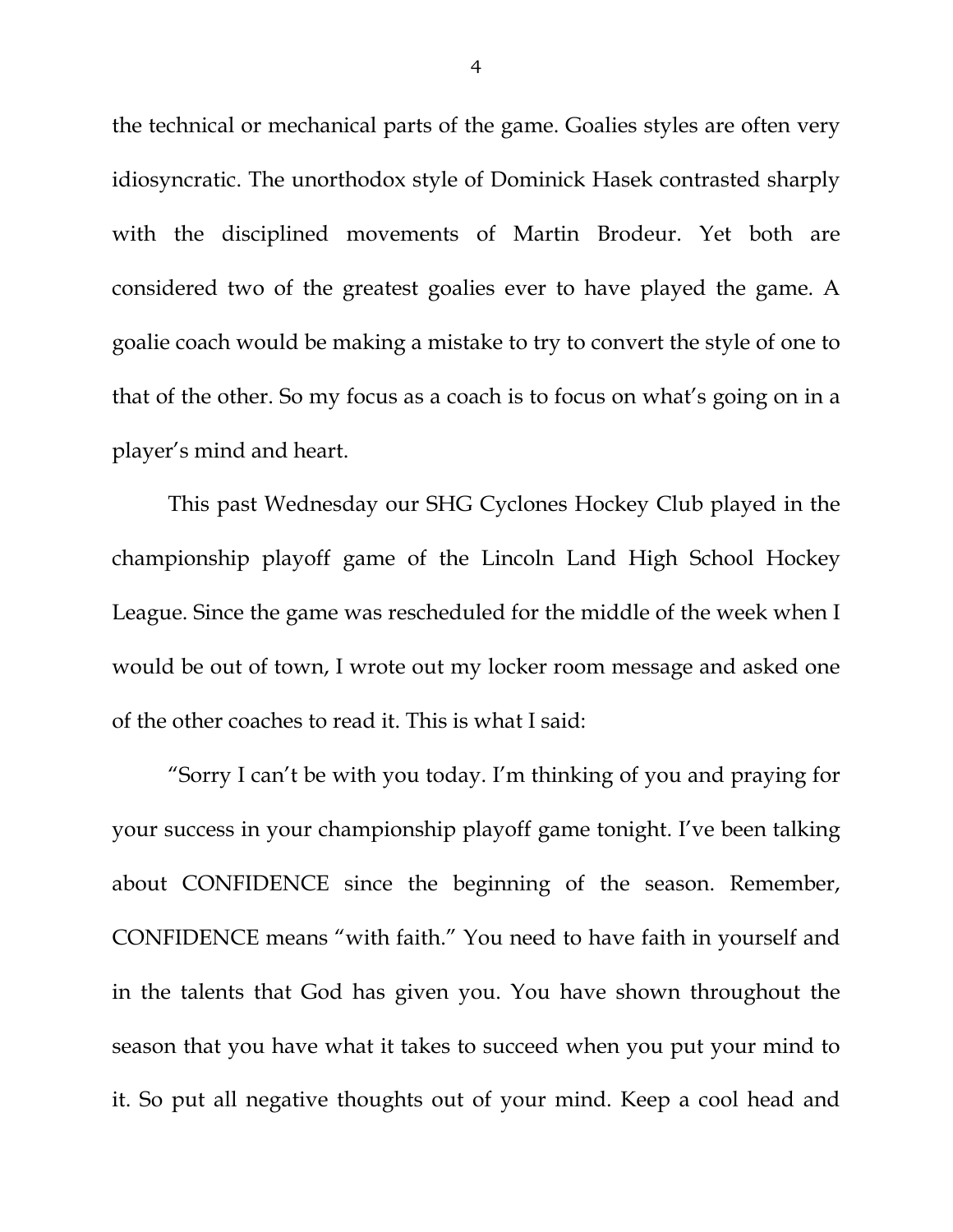the technical or mechanical parts of the game. Goalies styles are often very idiosyncratic. The unorthodox style of Dominick Hasek contrasted sharply with the disciplined movements of Martin Brodeur. Yet both are considered two of the greatest goalies ever to have played the game. A goalie coach would be making a mistake to try to convert the style of one to that of the other. So my focus as a coach is to focus on what's going on in a player's mind and heart.

 This past Wednesday our SHG Cyclones Hockey Club played in the championship playoff game of the Lincoln Land High School Hockey League. Since the game was rescheduled for the middle of the week when I would be out of town, I wrote out my locker room message and asked one of the other coaches to read it. This is what I said:

"Sorry I can't be with you today. I'm thinking of you and praying for your success in your championship playoff game tonight. I've been talking about CONFIDENCE since the beginning of the season. Remember, CONFIDENCE means "with faith." You need to have faith in yourself and in the talents that God has given you. You have shown throughout the season that you have what it takes to succeed when you put your mind to it. So put all negative thoughts out of your mind. Keep a cool head and

4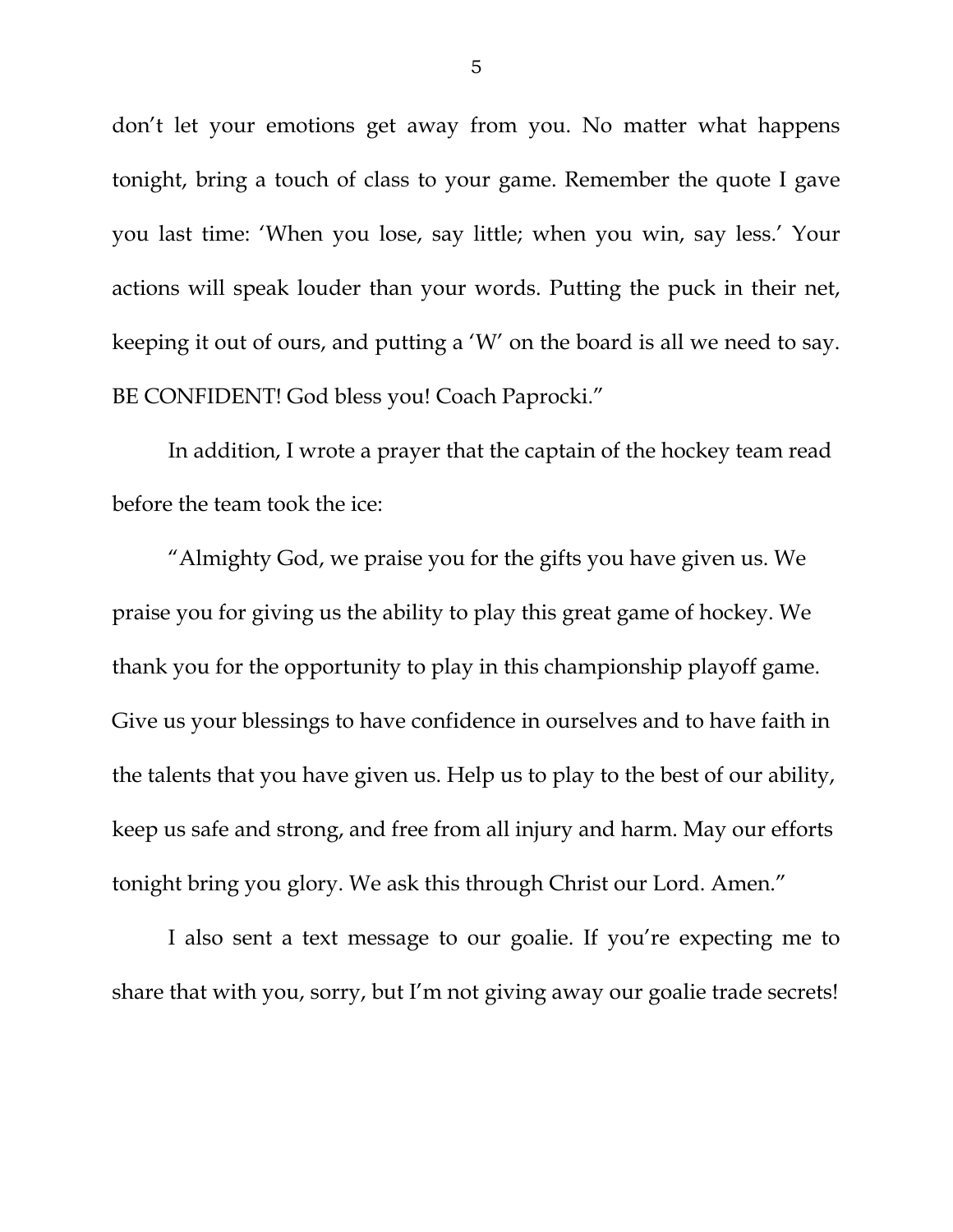don't let your emotions get away from you. No matter what happens tonight, bring a touch of class to your game. Remember the quote I gave you last time: 'When you lose, say little; when you win, say less.' Your actions will speak louder than your words. Putting the puck in their net, keeping it out of ours, and putting a 'W' on the board is all we need to say. BE CONFIDENT! God bless you! Coach Paprocki."

In addition, I wrote a prayer that the captain of the hockey team read before the team took the ice:

"Almighty God, we praise you for the gifts you have given us. We praise you for giving us the ability to play this great game of hockey. We thank you for the opportunity to play in this championship playoff game. Give us your blessings to have confidence in ourselves and to have faith in the talents that you have given us. Help us to play to the best of our ability, keep us safe and strong, and free from all injury and harm. May our efforts tonight bring you glory. We ask this through Christ our Lord. Amen."

I also sent a text message to our goalie. If you're expecting me to share that with you, sorry, but I'm not giving away our goalie trade secrets!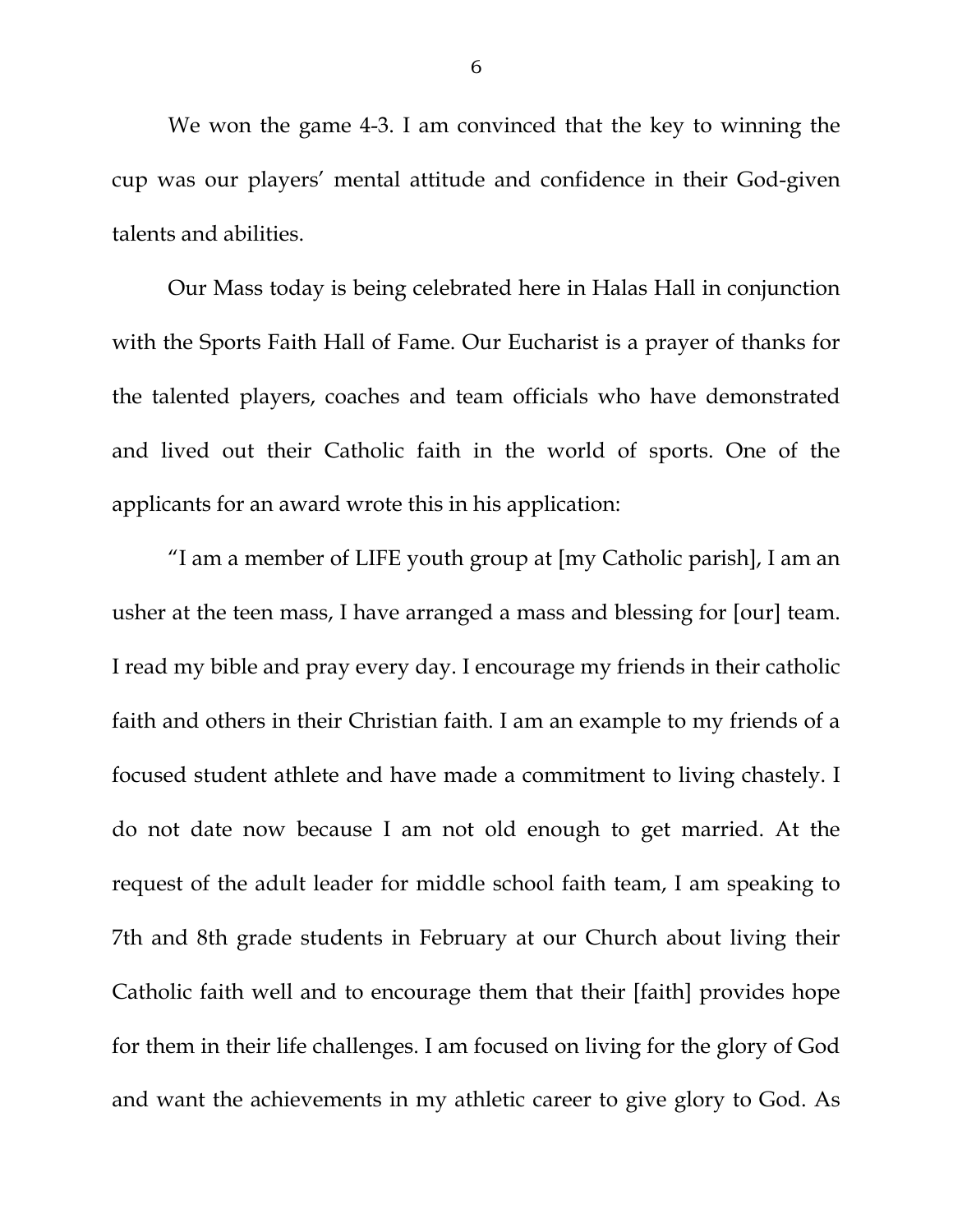We won the game 4-3. I am convinced that the key to winning the cup was our players' mental attitude and confidence in their God-given talents and abilities.

Our Mass today is being celebrated here in Halas Hall in conjunction with the Sports Faith Hall of Fame. Our Eucharist is a prayer of thanks for the talented players, coaches and team officials who have demonstrated and lived out their Catholic faith in the world of sports. One of the applicants for an award wrote this in his application:

"I am a member of LIFE youth group at [my Catholic parish], I am an usher at the teen mass, I have arranged a mass and blessing for [our] team. I read my bible and pray every day. I encourage my friends in their catholic faith and others in their Christian faith. I am an example to my friends of a focused student athlete and have made a commitment to living chastely. I do not date now because I am not old enough to get married. At the request of the adult leader for middle school faith team, I am speaking to 7th and 8th grade students in February at our Church about living their Catholic faith well and to encourage them that their [faith] provides hope for them in their life challenges. I am focused on living for the glory of God and want the achievements in my athletic career to give glory to God. As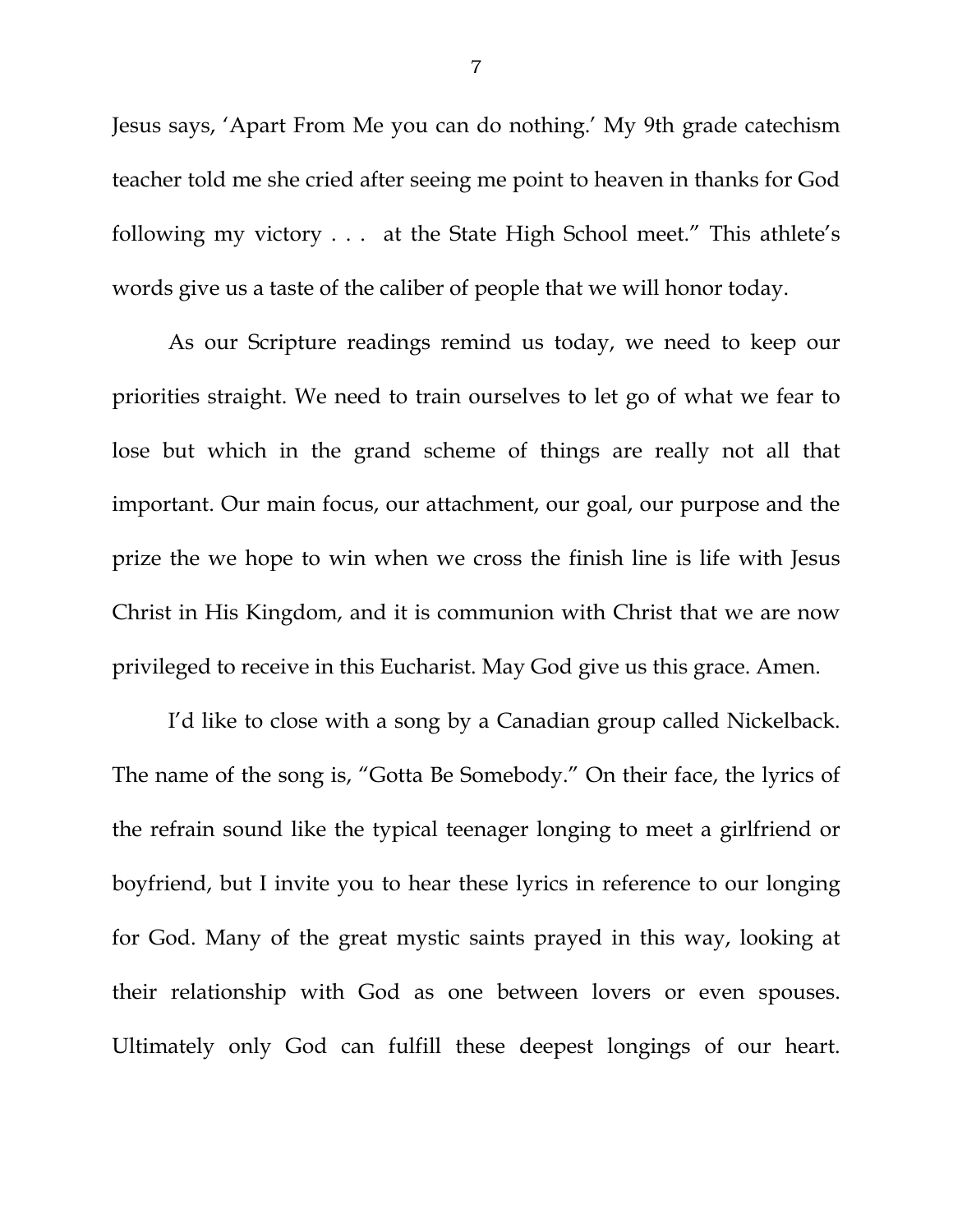Jesus says, 'Apart From Me you can do nothing.' My 9th grade catechism teacher told me she cried after seeing me point to heaven in thanks for God following my victory . . . at the State High School meet." This athlete's words give us a taste of the caliber of people that we will honor today.

 As our Scripture readings remind us today, we need to keep our priorities straight. We need to train ourselves to let go of what we fear to lose but which in the grand scheme of things are really not all that important. Our main focus, our attachment, our goal, our purpose and the prize the we hope to win when we cross the finish line is life with Jesus Christ in His Kingdom, and it is communion with Christ that we are now privileged to receive in this Eucharist. May God give us this grace. Amen.

I'd like to close with a song by a Canadian group called Nickelback. The name of the song is, "Gotta Be Somebody." On their face, the lyrics of the refrain sound like the typical teenager longing to meet a girlfriend or boyfriend, but I invite you to hear these lyrics in reference to our longing for God. Many of the great mystic saints prayed in this way, looking at their relationship with God as one between lovers or even spouses. Ultimately only God can fulfill these deepest longings of our heart.